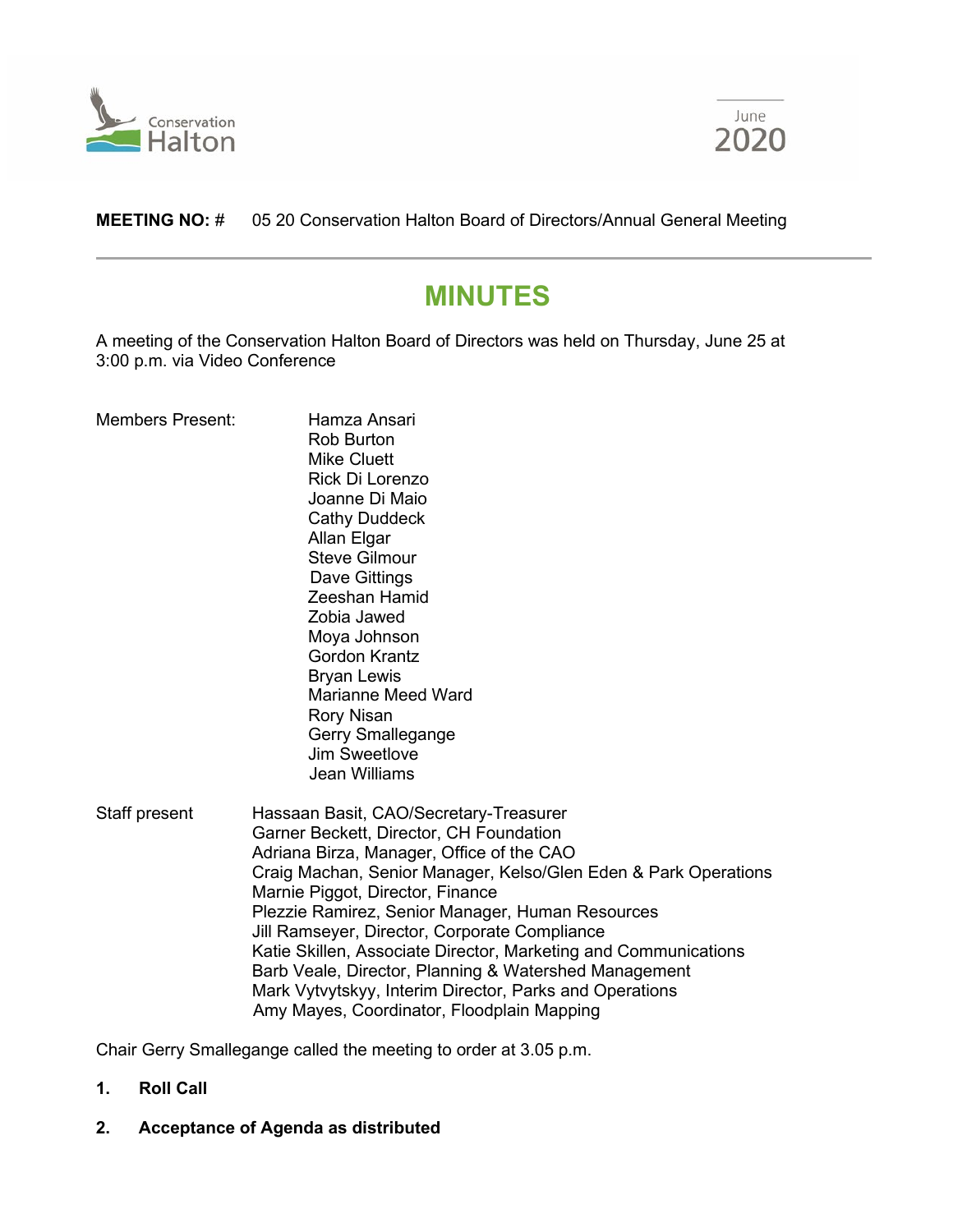



**MEETING NO:** # 05 20 Conservation Halton Board of Directors/Annual General Meeting

# **MINUTES**

A meeting of the Conservation Halton Board of Directors was held on Thursday, June 25 at 3:00 p.m. via Video Conference

| <b>Members Present:</b> | Hamza Ansari<br><b>Rob Burton</b><br><b>Mike Cluett</b><br>Rick Di Lorenzo<br>Joanne Di Maio<br><b>Cathy Duddeck</b><br>Allan Elgar<br><b>Steve Gilmour</b><br>Dave Gittings<br>Zeeshan Hamid<br>Zobia Jawed<br>Moya Johnson<br><b>Gordon Krantz</b><br><b>Bryan Lewis</b><br><b>Marianne Meed Ward</b><br><b>Rory Nisan</b><br>Gerry Smallegange<br><b>Jim Sweetlove</b><br><b>Jean Williams</b>                                                                                                                                                                               |
|-------------------------|---------------------------------------------------------------------------------------------------------------------------------------------------------------------------------------------------------------------------------------------------------------------------------------------------------------------------------------------------------------------------------------------------------------------------------------------------------------------------------------------------------------------------------------------------------------------------------|
| Staff present           | Hassaan Basit, CAO/Secretary-Treasurer<br>Garner Beckett, Director, CH Foundation<br>Adriana Birza, Manager, Office of the CAO<br>Craig Machan, Senior Manager, Kelso/Glen Eden & Park Operations<br>Marnie Piggot, Director, Finance<br>Plezzie Ramirez, Senior Manager, Human Resources<br>Jill Ramseyer, Director, Corporate Compliance<br>Katie Skillen, Associate Director, Marketing and Communications<br>Barb Veale, Director, Planning & Watershed Management<br>Mark Vytvytskyy, Interim Director, Parks and Operations<br>Amy Mayes, Coordinator, Floodplain Mapping |

Chair Gerry Smallegange called the meeting to order at 3.05 p.m.

# **1. Roll Call**

**2. Acceptance of Agenda as distributed**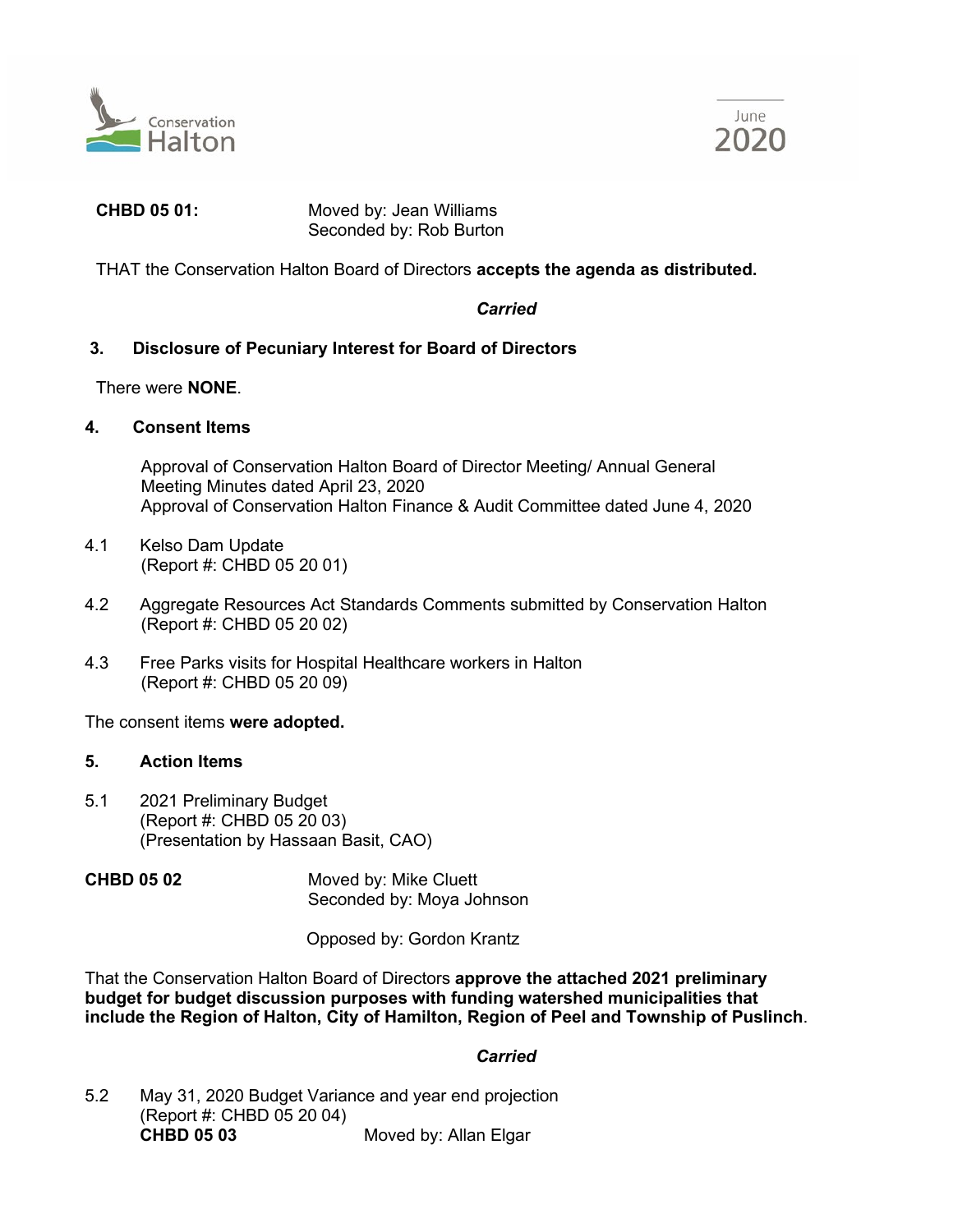



**CHBD 05 01:** Moved by: Jean Williams Seconded by: Rob Burton

THAT the Conservation Halton Board of Directors **accepts the agenda as distributed.**

# *Carried*

# **3. Disclosure of Pecuniary Interest for Board of Directors**

There were **NONE**.

**4. Consent Items**

Approval of Conservation Halton Board of Director Meeting/ Annual General Meeting Minutes dated April 23, 2020 Approval of Conservation Halton Finance & Audit Committee dated June 4, 2020

- 4.1 Kelso Dam Update (Report #: CHBD 05 20 01)
- 4.2 Aggregate Resources Act Standards Comments submitted by Conservation Halton (Report #: CHBD 05 20 02)
- 4.3 Free Parks visits for Hospital Healthcare workers in Halton (Report #: CHBD 05 20 09)

The consent items **were adopted.**

# **5. Action Items**

- 5.1 2021 Preliminary Budget (Report #: CHBD 05 20 03) (Presentation by Hassaan Basit, CAO)
- **CHBD 05 02** Moved by: Mike Cluett Seconded by: Moya Johnson

Opposed by: Gordon Krantz

That the Conservation Halton Board of Directors **approve the attached 2021 preliminary budget for budget discussion purposes with funding watershed municipalities that include the Region of Halton, City of Hamilton, Region of Peel and Township of Puslinch**.

# *Carried*

5.2 May 31, 2020 Budget Variance and year end projection (Report #: CHBD 05 20 04) **CHBD 05 03** Moved by: Allan Elgar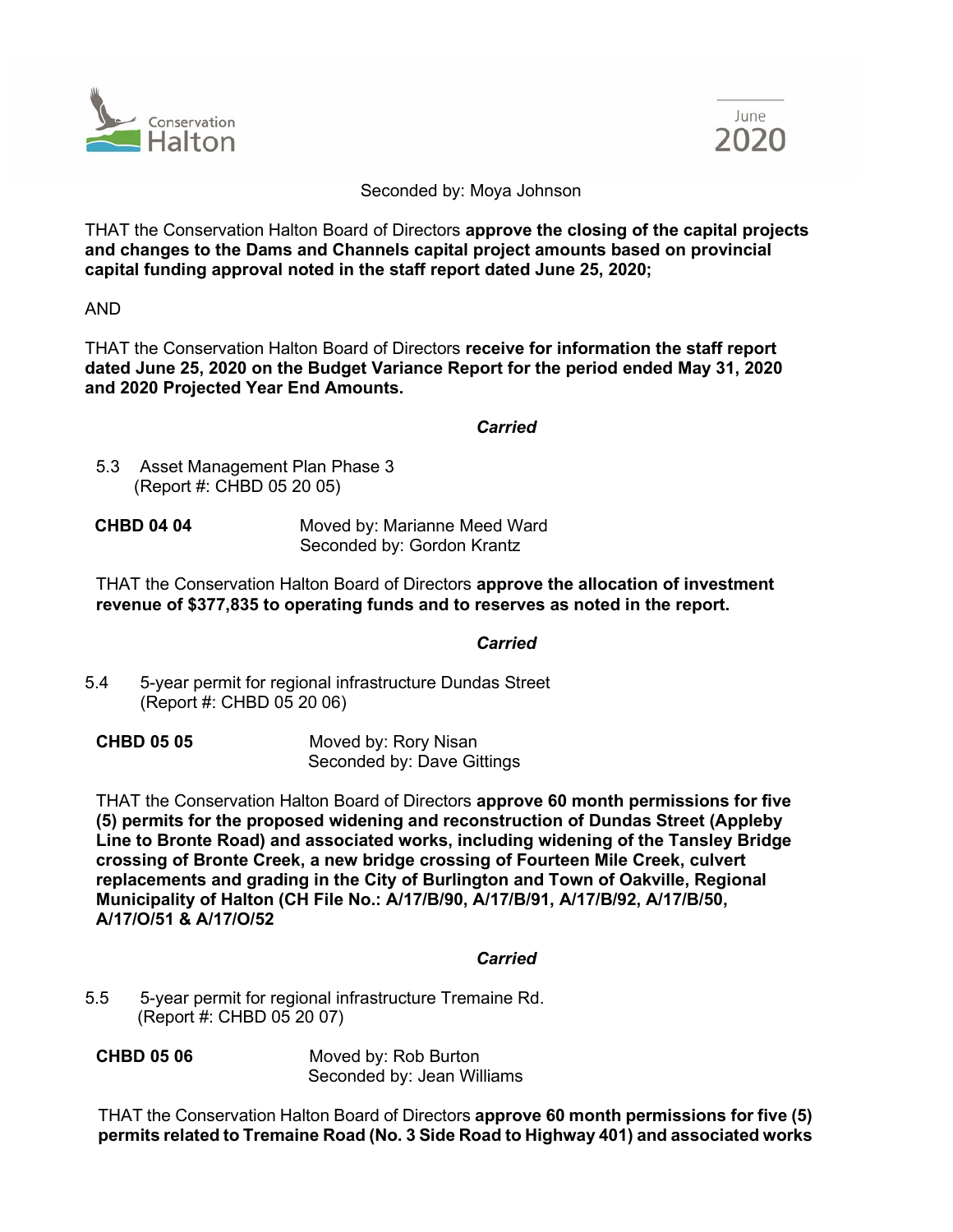



#### Seconded by: Moya Johnson

THAT the Conservation Halton Board of Directors **approve the closing of the capital projects and changes to the Dams and Channels capital project amounts based on provincial capital funding approval noted in the staff report dated June 25, 2020;** 

AND

THAT the Conservation Halton Board of Directors **receive for information the staff report dated June 25, 2020 on the Budget Variance Report for the period ended May 31, 2020 and 2020 Projected Year End Amounts.**

# *Carried*

- 5.3 Asset Management Plan Phase 3 (Report #: CHBD 05 20 05)
- **CHBD 04 04** Moved by: Marianne Meed Ward Seconded by: Gordon Krantz

THAT the Conservation Halton Board of Directors **approve the allocation of investment revenue of \$377,835 to operating funds and to reserves as noted in the report.**

# *Carried*

5.4 5-year permit for regional infrastructure Dundas Street (Report #: CHBD 05 20 06)

**CHBD 05 05** Moved by: Rory Nisan Seconded by: Dave Gittings

THAT the Conservation Halton Board of Directors **approve 60 month permissions for five (5) permits for the proposed widening and reconstruction of Dundas Street (Appleby Line to Bronte Road) and associated works, including widening of the Tansley Bridge crossing of Bronte Creek, a new bridge crossing of Fourteen Mile Creek, culvert replacements and grading in the City of Burlington and Town of Oakville, Regional Municipality of Halton (CH File No.: A/17/B/90, A/17/B/91, A/17/B/92, A/17/B/50, A/17/O/51 & A/17/O/52**

# *Carried*

- 5.5 5-year permit for regional infrastructure Tremaine Rd. (Report #: CHBD 05 20 07)
- **CHBD 05 06** Moved by: Rob Burton Seconded by: Jean Williams

THAT the Conservation Halton Board of Directors **approve 60 month permissions for five (5) permits related to Tremaine Road (No. 3 Side Road to Highway 401) and associated works**